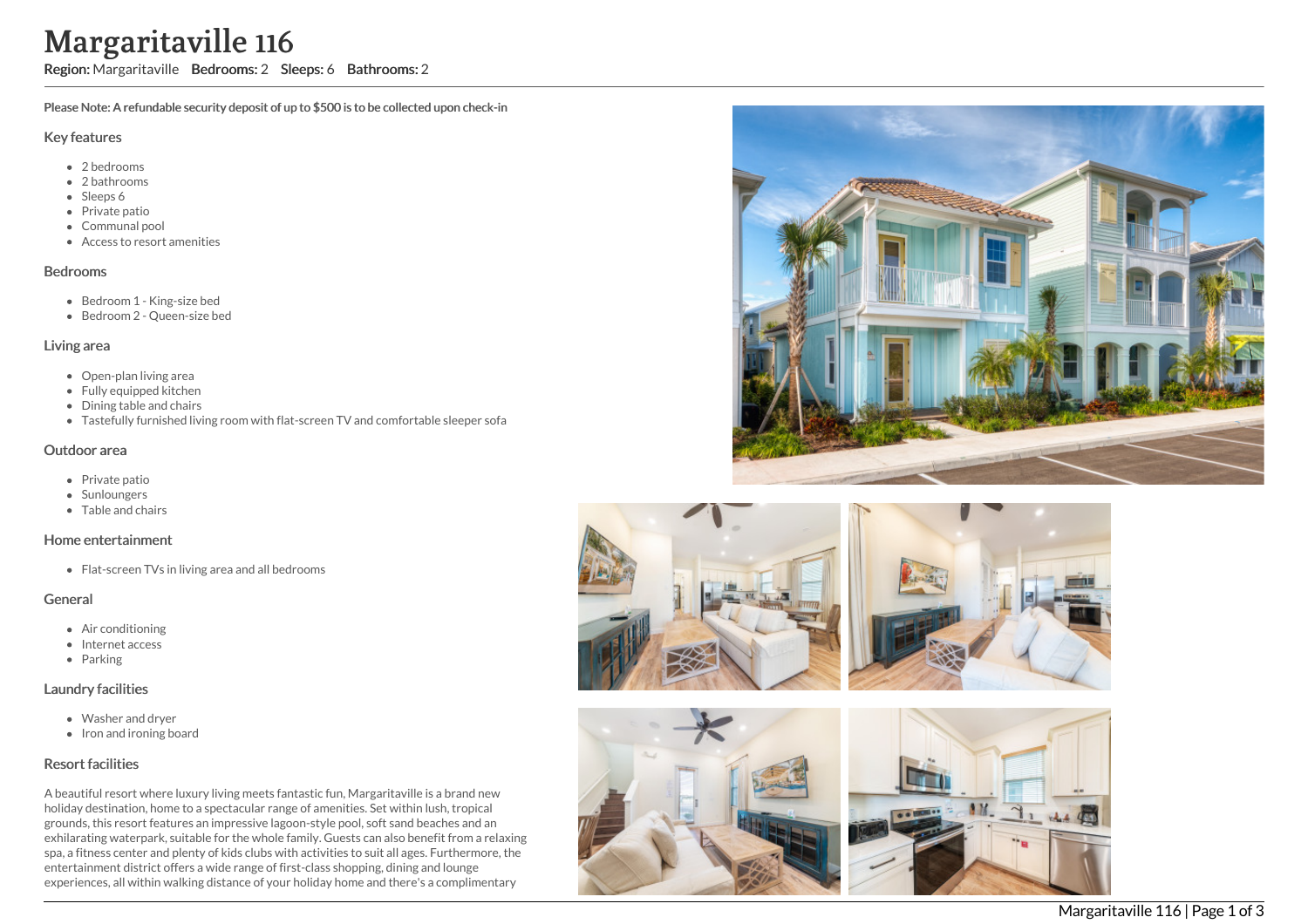# Margaritaville 116

Region: Margaritaville Bedrooms: 2 Sleeps: 6 Bathrooms: 2

Please Note: A refundable security deposit of up to \$500 is to be collected upon check-in

#### Key features

- 2 b e d r o o m s
- 2 bathrooms
- Sleeps 6
- Private patio
- Communal pool
- Access to resort amenities

#### **Bedrooms**

- Bedroom 1 King-size bed
- Bedroom 2 Queen-size bed

#### Living area

- Open-plan living area
- Fully equipped kitchen
- Dining table and chairs
- Tastefully furnished living room with flat-screen TV and comfortable sleeper sofa

## Outdoor area

- Private patio
- **Sunloungers**
- T a ble a n d c h air s

#### Home entertainment

Flat-screen TVs in living area and all bedrooms

## General

- Air c o n ditio nin g
- Internet access
- Parking

## Laundry facilities

- Washer and dryer
- Iron and ironing board

# Resort facilities

A beautiful resort where luxury living meets fantastic fun, Margaritaville is a brand new holiday destination, home to a spectacular range of amenities. Set within lush, tropical grounds, this resort features an impressive lagoon-style pool, soft sand beaches and an exhilarating waterpark, suitable for the whole family. Guests can also benefit from a relaxing spa, a fitness center and plenty of kids clubs with activities to suit all ages. Furthermore, the entertainment district offers a wide range of first-class shopping, dining and lounge experiences, all within walking distance of your holiday home and there's a complimentary







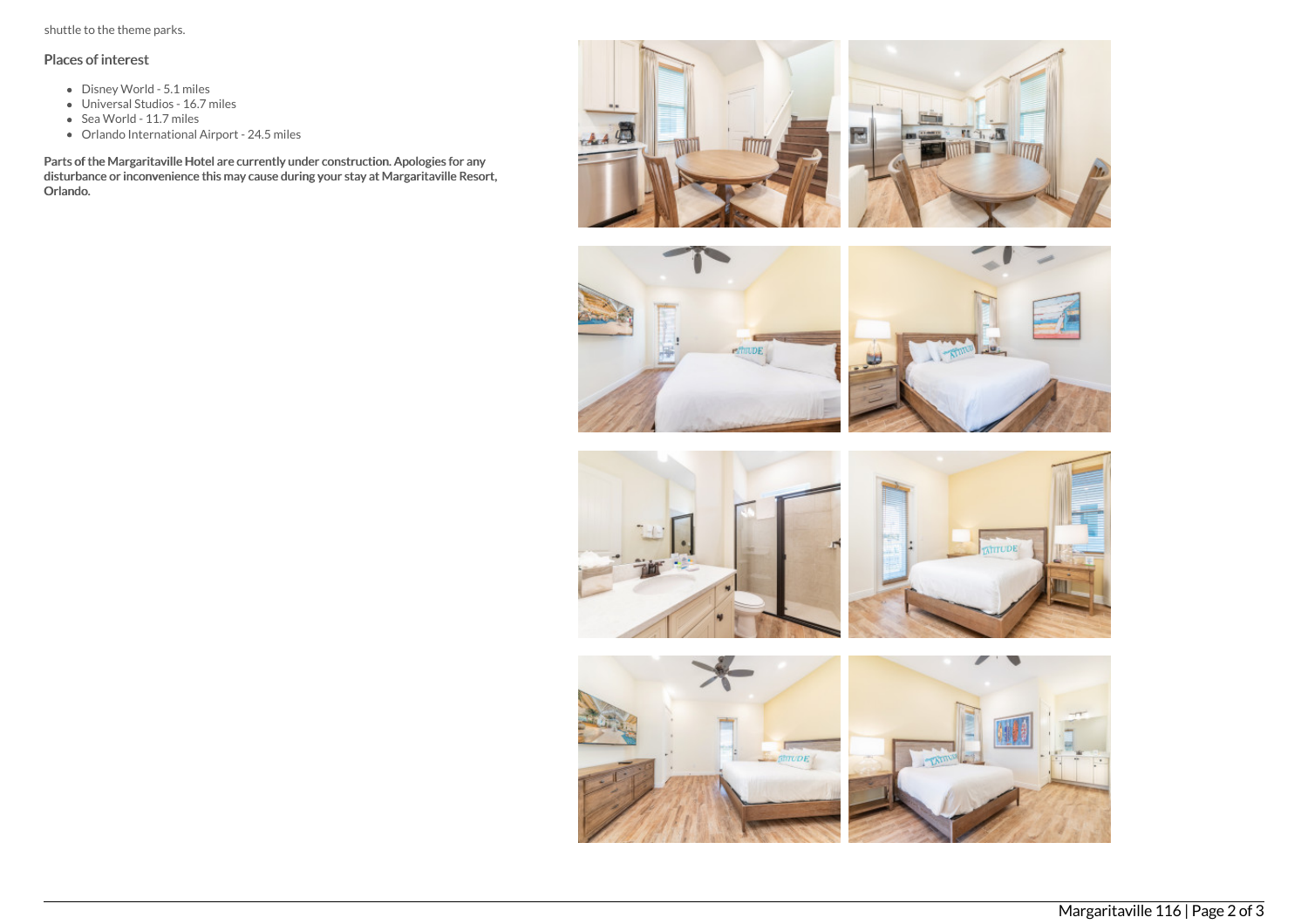shuttle to the theme parks.

# Places of interest

- Disney World 5.1 miles
- Universal Studios 16.7 miles
- Sea World 11.7 miles
- Orlando International Airport 24.5 miles

Parts of the Margaritaville Hotel are currently under construction. Apologies for any disturbance or inconvenience this may cause during your stay at Margaritaville Resort, Orlando.